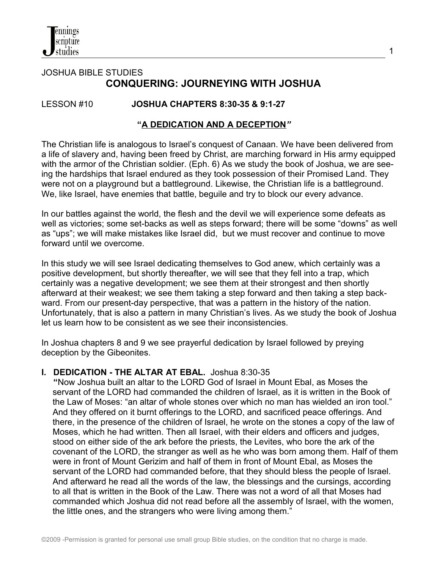# JOSHUA BIBLE STUDIES **CONQUERING: JOURNEYING WITH JOSHUA**

# LESSON #10 **JOSHUA CHAPTERS 8:30-35 & 9:1-27**

#### **"A DEDICATION AND A DECEPTION***"*

The Christian life is analogous to Israel's conquest of Canaan. We have been delivered from a life of slavery and, having been freed by Christ, are marching forward in His army equipped with the armor of the Christian soldier. (Eph. 6) As we study the book of Joshua, we are seeing the hardships that Israel endured as they took possession of their Promised Land. They were not on a playground but a battleground. Likewise, the Christian life is a battleground. We, like Israel, have enemies that battle, beguile and try to block our every advance.

In our battles against the world, the flesh and the devil we will experience some defeats as well as victories; some set-backs as well as steps forward; there will be some "downs" as well as "ups"; we will make mistakes like Israel did, but we must recover and continue to move forward until we overcome.

In this study we will see Israel dedicating themselves to God anew, which certainly was a positive development, but shortly thereafter, we will see that they fell into a trap, which certainly was a negative development; we see them at their strongest and then shortly afterward at their weakest; we see them taking a step forward and then taking a step backward. From our present-day perspective, that was a pattern in the history of the nation. Unfortunately, that is also a pattern in many Christian's lives. As we study the book of Joshua let us learn how to be consistent as we see their inconsistencies.

In Joshua chapters 8 and 9 we see prayerful dedication by Israel followed by preying deception by the Gibeonites.

#### **I. DEDICATION - THE ALTAR AT EBAL.** Joshua 8:30-35

 **"**Now Joshua built an altar to the LORD God of Israel in Mount Ebal, as Moses the servant of the LORD had commanded the children of Israel, as it is written in the Book of the Law of Moses: "an altar of whole stones over which no man has wielded an iron tool." And they offered on it burnt offerings to the LORD, and sacrificed peace offerings. And there, in the presence of the children of Israel, he wrote on the stones a copy of the law of Moses, which he had written. Then all Israel, with their elders and officers and judges, stood on either side of the ark before the priests, the Levites, who bore the ark of the covenant of the LORD, the stranger as well as he who was born among them. Half of them were in front of Mount Gerizim and half of them in front of Mount Ebal, as Moses the servant of the LORD had commanded before, that they should bless the people of Israel. And afterward he read all the words of the law, the blessings and the cursings, according to all that is written in the Book of the Law. There was not a word of all that Moses had commanded which Joshua did not read before all the assembly of Israel, with the women, the little ones, and the strangers who were living among them."

1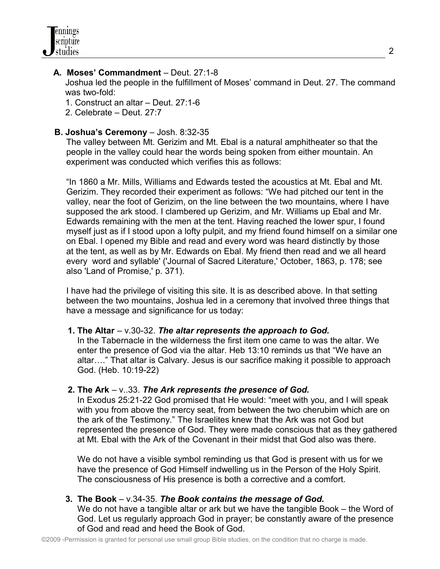### **A. Moses' Commandment** – Deut. 27:1-8

 Joshua led the people in the fulfillment of Moses' command in Deut. 27. The command was two-fold:

- 1. Construct an altar Deut. 27:1-6
- 2. Celebrate Deut. 27:7

#### **B. Joshua's Ceremony** – Josh. 8:32-35

 The valley between Mt. Gerizim and Mt. Ebal is a natural amphitheater so that the people in the valley could hear the words being spoken from either mountain. An experiment was conducted which verifies this as follows:

 "In 1860 a Mr. Mills, Williams and Edwards tested the acoustics at Mt. Ebal and Mt. Gerizim. They recorded their experiment as follows: "We had pitched our tent in the valley, near the foot of Gerizim, on the line between the two mountains, where I have supposed the ark stood. I clambered up Gerizim, and Mr. Williams up Ebal and Mr. Edwards remaining with the men at the tent. Having reached the lower spur, I found myself just as if I stood upon a lofty pulpit, and my friend found himself on a similar one on Ebal. I opened my Bible and read and every word was heard distinctly by those at the tent, as well as by Mr. Edwards on Ebal. My friend then read and we all heard every word and syllable' ('Journal of Sacred Literature,' October, 1863, p. 178; see also 'Land of Promise,' p. 371).

 I have had the privilege of visiting this site. It is as described above. In that setting between the two mountains, Joshua led in a ceremony that involved three things that have a message and significance for us today:

#### **1. The Altar** – v.30-32. *The altar represents the approach to God.*

In the Tabernacle in the wilderness the first item one came to was the altar. We enter the presence of God via the altar. Heb 13:10 reminds us that "We have an altar…." That altar is Calvary. Jesus is our sacrifice making it possible to approach God. (Heb. 10:19-22)

#### **2. The Ark** – v..33. *The Ark represents the presence of God.*

 In Exodus 25:21-22 God promised that He would: "meet with you, and I will speak with you from above the mercy seat, from between the two cherubim which are on the ark of the Testimony." The Israelites knew that the Ark was not God but represented the presence of God. They were made conscious that as they gathered at Mt. Ebal with the Ark of the Covenant in their midst that God also was there.

 We do not have a visible symbol reminding us that God is present with us for we have the presence of God Himself indwelling us in the Person of the Holy Spirit. The consciousness of His presence is both a corrective and a comfort.

#### **3. The Book** – v.34-35. *The Book contains the message of God.*

 We do not have a tangible altar or ark but we have the tangible Book – the Word of God. Let us regularly approach God in prayer; be constantly aware of the presence of God and read and heed the Book of God.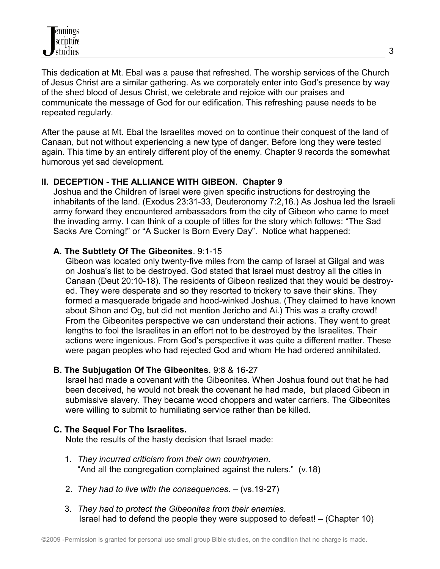This dedication at Mt. Ebal was a pause that refreshed. The worship services of the Church of Jesus Christ are a similar gathering. As we corporately enter into God's presence by way of the shed blood of Jesus Christ, we celebrate and rejoice with our praises and communicate the message of God for our edification. This refreshing pause needs to be repeated regularly.

After the pause at Mt. Ebal the Israelites moved on to continue their conquest of the land of Canaan, but not without experiencing a new type of danger. Before long they were tested again. This time by an entirely different ploy of the enemy. Chapter 9 records the somewhat humorous yet sad development.

# **II. DECEPTION - THE ALLIANCE WITH GIBEON. Chapter 9**

Joshua and the Children of Israel were given specific instructions for destroying the inhabitants of the land. (Exodus 23:31-33, Deuteronomy 7:2,16.) As Joshua led the Israeli army forward they encountered ambassadors from the city of Gibeon who came to meet the invading army. I can think of a couple of titles for the story which follows: "The Sad Sacks Are Coming!" or "A Sucker Is Born Every Day". Notice what happened:

# **A. The Subtlety Of The Gibeonites**. 9:1-15

 Gibeon was located only twenty-five miles from the camp of Israel at Gilgal and was on Joshua's list to be destroyed. God stated that Israel must destroy all the cities in Canaan (Deut 20:10-18). The residents of Gibeon realized that they would be destroy ed. They were desperate and so they resorted to trickery to save their skins. They formed a masquerade brigade and hood-winked Joshua. (They claimed to have known about Sihon and Og, but did not mention Jericho and Ai.) This was a crafty crowd! From the Gibeonites perspective we can understand their actions. They went to great lengths to fool the Israelites in an effort not to be destroyed by the Israelites. Their actions were ingenious. From God's perspective it was quite a different matter. These were pagan peoples who had rejected God and whom He had ordered annihilated.

# **B. The Subjugation Of The Gibeonites.** 9:8 & 16-27

 Israel had made a covenant with the Gibeonites. When Joshua found out that he had been deceived, he would not break the covenant he had made, but placed Gibeon in submissive slavery. They became wood choppers and water carriers. The Gibeonites were willing to submit to humiliating service rather than be killed.

# **C. The Sequel For The Israelites.**

Note the results of the hasty decision that Israel made:

- 1. *They incurred criticism from their own countrymen.*  "And all the congregation complained against the rulers." (v.18)
- 2. *They had to live with the consequences*. (vs.19-27)
- 3. *They had to protect the Gibeonites from their enemies*. Israel had to defend the people they were supposed to defeat! – (Chapter 10)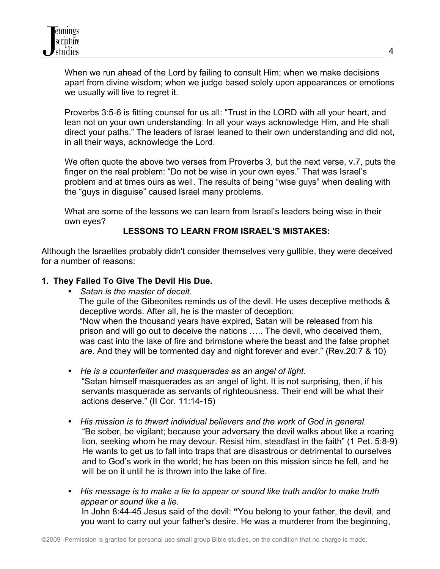When we run ahead of the Lord by failing to consult Him; when we make decisions apart from divine wisdom; when we judge based solely upon appearances or emotions we usually will live to regret it.

Proverbs 3:5-6 is fitting counsel for us all: "Trust in the LORD with all your heart, and lean not on your own understanding; In all your ways acknowledge Him, and He shall direct your paths." The leaders of Israel leaned to their own understanding and did not, in all their ways, acknowledge the Lord.

We often quote the above two verses from Proverbs 3, but the next verse, v.7, puts the finger on the real problem: "Do not be wise in your own eyes." That was Israel's problem and at times ours as well. The results of being "wise guys" when dealing with the "guys in disguise" caused Israel many problems.

What are some of the lessons we can learn from Israel's leaders being wise in their own eyes?

# **LESSONS TO LEARN FROM ISRAEL'S MISTAKES:**

Although the Israelites probably didn't consider themselves very gullible, they were deceived for a number of reasons:

#### **1. They Failed To Give The Devil His Due.**

- *Satan is the master of deceit.*  The guile of the Gibeonites reminds us of the devil. He uses deceptive methods & deceptive words. After all, he is the master of deception: "Now when the thousand years have expired, Satan will be released from his prison and will go out to deceive the nations ….. The devil, who deceived them, was cast into the lake of fire and brimstone where the beast and the false prophet *are.* And they will be tormented day and night forever and ever." (Rev.20:7 & 10)
- *He is a counterfeiter and masquerades as an angel of light.* "Satan himself masquerades as an angel of light. It is not surprising, then, if his servants masquerade as servants of righteousness. Their end will be what their actions deserve." (II Cor. 11:14-15)
- *His mission is to thwart individual believers and the work of God in general.* "Be sober, be vigilant; because your adversary the devil walks about like a roaring lion, seeking whom he may devour. Resist him, steadfast in the faith" (1 Pet. 5:8-9) He wants to get us to fall into traps that are disastrous or detrimental to ourselves and to God's work in the world; he has been on this mission since he fell, and he will be on it until he is thrown into the lake of fire.
- *His message is to make a lie to appear or sound like truth and/or to make truth appear or sound like a lie.* In John 8:44-45 Jesus said of the devil: **"**You belong to your father, the devil, and you want to carry out your father's desire. He was a murderer from the beginning,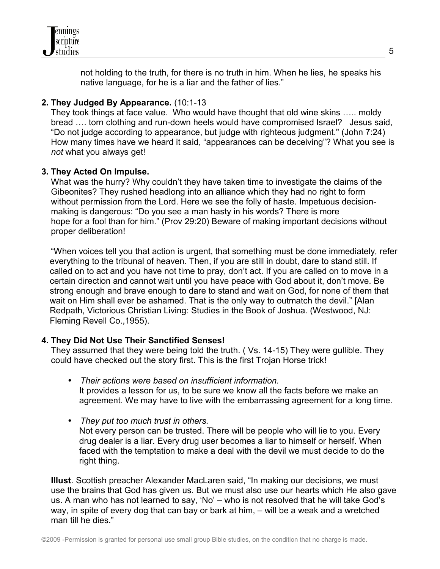

not holding to the truth, for there is no truth in him. When he lies, he speaks his native language, for he is a liar and the father of lies."

### **2. They Judged By Appearance.** (10:1-13

 They took things at face value. Who would have thought that old wine skins ….. moldy bread …. torn clothing and run-down heels would have compromised Israel? Jesus said, "Do not judge according to appearance, but judge with righteous judgment." (John 7:24) How many times have we heard it said, "appearances can be deceiving"? What you see is *not* what you always get!

#### **3. They Acted On Impulse.**

 What was the hurry? Why couldn't they have taken time to investigate the claims of the Gibeonites? They rushed headlong into an alliance which they had no right to form without permission from the Lord. Here we see the folly of haste. Impetuous decision making is dangerous: "Do you see a man hasty in his words? There is more hope for a fool than for him." (Prov 29:20) Beware of making important decisions without proper deliberation!

 "When voices tell you that action is urgent, that something must be done immediately, refer everything to the tribunal of heaven. Then, if you are still in doubt, dare to stand still. If called on to act and you have not time to pray, don't act. If you are called on to move in a certain direction and cannot wait until you have peace with God about it, don't move. Be strong enough and brave enough to dare to stand and wait on God, for none of them that wait on Him shall ever be ashamed. That is the only way to outmatch the devil." [Alan Redpath, Victorious Christian Living: Studies in the Book of Joshua. (Westwood, NJ: Fleming Revell Co.,1955).

# **4. They Did Not Use Their Sanctified Senses!**

They assumed that they were being told the truth. ( Vs. 14-15) They were gullible. They could have checked out the story first. This is the first Trojan Horse trick!

- *Their actions were based on insufficient information.*  It provides a lesson for us, to be sure we know all the facts before we make an agreement. We may have to live with the embarrassing agreement for a long time.
- *They put too much trust in others.*  Not every person can be trusted. There will be people who will lie to you. Every drug dealer is a liar. Every drug user becomes a liar to himself or herself. When faced with the temptation to make a deal with the devil we must decide to do the right thing.

 **Illust**. Scottish preacher Alexander MacLaren said, "In making our decisions, we must use the brains that God has given us. But we must also use our hearts which He also gave us. A man who has not learned to say, 'No' – who is not resolved that he will take God's way, in spite of every dog that can bay or bark at him, – will be a weak and a wretched man till he dies."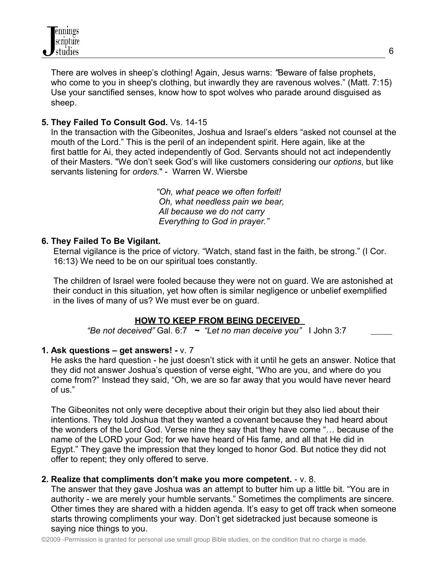There are wolves in sheep's clothing! Again, Jesus warns: *"*Beware of false prophets, who come to you in sheep's clothing, but inwardly they are ravenous wolves." (Matt. 7:15) Use your sanctified senses, know how to spot wolves who parade around disguised as sheep.

# **5. They Failed To Consult God.** Vs. 14-15

 In the transaction with the Gibeonites, Joshua and Israel's elders "asked not counsel at the mouth of the Lord." This is the peril of an independent spirit. Here again, like at the first battle for Ai, they acted independently of God. Servants should not act independently of their Masters. "We don't seek God's will like customers considering our *options*, but like servants listening for *orders.*" - Warren W. Wiersbe

> *"Oh, what peace we often forfeit! Oh, what needless pain we bear, All because we do not carry Everything to God in prayer."*

#### **6. They Failed To Be Vigilant.**

Eternal vigilance is the price of victory. "Watch, stand fast in the faith, be strong." (I Cor. 16:13) We need to be on our spiritual toes constantly.

The children of Israel were fooled because they were not on guard. We are astonished at their conduct in this situation, yet how often is similar negligence or unbelief exemplified in the lives of many of us? We must ever be on guard.

#### **HOW TO KEEP FROM BEING DECEIVED**

*"Be not deceived"* Gal. 6:7 *~ "Let no man deceive you"* I John 3:7

# **1. Ask questions – get answers! -** v. 7

 He asks the hard question - he just doesn't stick with it until he gets an answer. Notice that they did not answer Joshua's question of verse eight, "Who are you, and where do you come from?" Instead they said, "Oh, we are so far away that you would have never heard of us."

 The Gibeonites not only were deceptive about their origin but they also lied about their intentions. They told Joshua that they wanted a covenant because they had heard about the wonders of the Lord God. Verse nine they say that they have come "… because of the name of the LORD your God; for we have heard of His fame, and all that He did in Egypt." They gave the impression that they longed to honor God. But notice they did not offer to repent; they only offered to serve.

#### **2. Realize that compliments don't make you more competent.** - v. 8.

 The answer that they gave Joshua was an attempt to butter him up a little bit. "You are in authority - we are merely your humble servants." Sometimes the compliments are sincere. Other times they are shared with a hidden agenda. It's easy to get off track when someone starts throwing compliments your way. Don't get sidetracked just because someone is saying nice things to you.